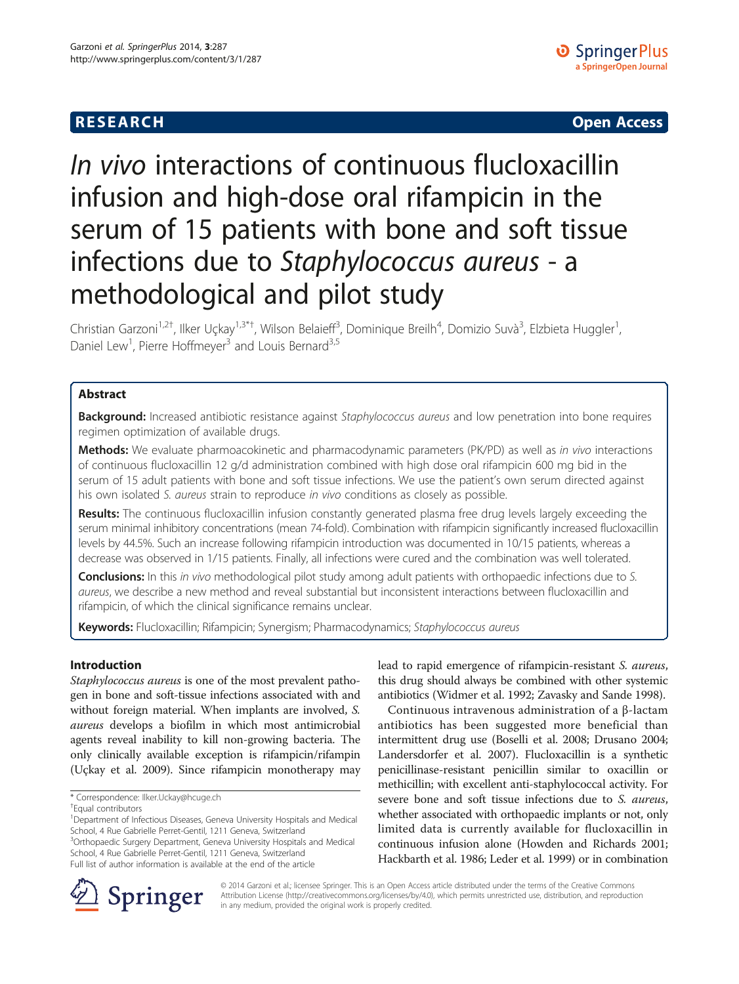## **RESEARCH CHE Open Access**

# In vivo interactions of continuous flucloxacillin infusion and high-dose oral rifampicin in the serum of 15 patients with bone and soft tissue infections due to Staphylococcus aureus - a methodological and pilot study

Christian Garzoni<sup>1,2†</sup>, Ilker Uçkay<sup>1,3\*†</sup>, Wilson Belaieff<sup>3</sup>, Dominique Breilh<sup>4</sup>, Domizio Suvà<sup>3</sup>, Elzbieta Huggler<sup>1</sup> , Daniel Lew<sup>1</sup>, Pierre Hoffmeyer<sup>3</sup> and Louis Bernard<sup>3,5</sup>

## Abstract

Background: Increased antibiotic resistance against Staphylococcus aureus and low penetration into bone requires regimen optimization of available drugs.

Methods: We evaluate pharmoacokinetic and pharmacodynamic parameters (PK/PD) as well as in vivo interactions of continuous flucloxacillin 12 g/d administration combined with high dose oral rifampicin 600 mg bid in the serum of 15 adult patients with bone and soft tissue infections. We use the patient's own serum directed against his own isolated S. aureus strain to reproduce in vivo conditions as closely as possible.

Results: The continuous flucloxacillin infusion constantly generated plasma free drug levels largely exceeding the serum minimal inhibitory concentrations (mean 74-fold). Combination with rifampicin significantly increased flucloxacillin levels by 44.5%. Such an increase following rifampicin introduction was documented in 10/15 patients, whereas a decrease was observed in 1/15 patients. Finally, all infections were cured and the combination was well tolerated.

Conclusions: In this in vivo methodological pilot study among adult patients with orthopaedic infections due to S. aureus, we describe a new method and reveal substantial but inconsistent interactions between flucloxacillin and rifampicin, of which the clinical significance remains unclear.

Keywords: Flucloxacillin; Rifampicin; Synergism; Pharmacodynamics; Staphylococcus aureus

## Introduction

Staphylococcus aureus is one of the most prevalent pathogen in bone and soft-tissue infections associated with and without foreign material. When implants are involved, S. aureus develops a biofilm in which most antimicrobial agents reveal inability to kill non-growing bacteria. The only clinically available exception is rifampicin/rifampin (Uçkay et al. [2009](#page-4-0)). Since rifampicin monotherapy may

<sup>3</sup>Orthopaedic Surgery Department, Geneva University Hospitals and Medical School, 4 Rue Gabrielle Perret-Gentil, 1211 Geneva, Switzerland Full list of author information is available at the end of the article

lead to rapid emergence of rifampicin-resistant S. aureus, this drug should always be combined with other systemic antibiotics (Widmer et al. [1992;](#page-4-0) Zavasky and Sande [1998](#page-4-0)).

Continuous intravenous administration of a β-lactam antibiotics has been suggested more beneficial than intermittent drug use (Boselli et al. [2008;](#page-3-0) Drusano [2004](#page-3-0); Landersdorfer et al. [2007\)](#page-3-0). Flucloxacillin is a synthetic penicillinase-resistant penicillin similar to oxacillin or methicillin; with excellent anti-staphylococcal activity. For severe bone and soft tissue infections due to S. *aureus*, whether associated with orthopaedic implants or not, only limited data is currently available for flucloxacillin in continuous infusion alone (Howden and Richards [2001](#page-3-0); Hackbarth et al. [1986](#page-3-0); Leder et al. [1999\)](#page-3-0) or in combination



© 2014 Garzoni et al.; licensee Springer. This is an Open Access article distributed under the terms of the Creative Commons Attribution License [\(http://creativecommons.org/licenses/by/4.0\)](http://creativecommons.org/licenses/by/4.0), which permits unrestricted use, distribution, and reproduction in any medium, provided the original work is properly credited.

<sup>\*</sup> Correspondence: [Ilker.Uckay@hcuge.ch](mailto:Ilker.Uckay@hcuge.ch) †

Equal contributors

<sup>&</sup>lt;sup>1</sup>Department of Infectious Diseases, Geneva University Hospitals and Medical School, 4 Rue Gabrielle Perret-Gentil, 1211 Geneva, Switzerland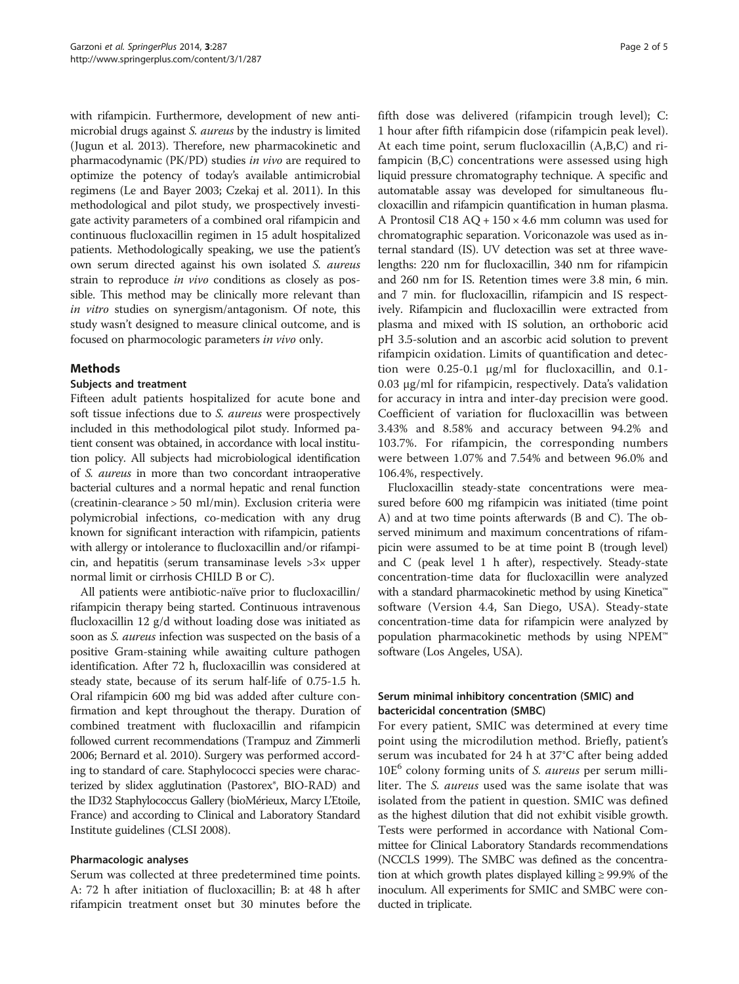with rifampicin. Furthermore, development of new antimicrobial drugs against S. aureus by the industry is limited (Jugun et al. [2013\)](#page-3-0). Therefore, new pharmacokinetic and pharmacodynamic (PK/PD) studies in vivo are required to optimize the potency of today's available antimicrobial regimens (Le and Bayer [2003;](#page-3-0) Czekaj et al. [2011](#page-3-0)). In this methodological and pilot study, we prospectively investigate activity parameters of a combined oral rifampicin and continuous flucloxacillin regimen in 15 adult hospitalized patients. Methodologically speaking, we use the patient's own serum directed against his own isolated S. aureus strain to reproduce *in vivo* conditions as closely as possible. This method may be clinically more relevant than in vitro studies on synergism/antagonism. Of note, this study wasn't designed to measure clinical outcome, and is focused on pharmocologic parameters in vivo only.

## Methods

## Subjects and treatment

Fifteen adult patients hospitalized for acute bone and soft tissue infections due to S. aureus were prospectively included in this methodological pilot study. Informed patient consent was obtained, in accordance with local institution policy. All subjects had microbiological identification of S. aureus in more than two concordant intraoperative bacterial cultures and a normal hepatic and renal function (creatinin-clearance > 50 ml/min). Exclusion criteria were polymicrobial infections, co-medication with any drug known for significant interaction with rifampicin, patients with allergy or intolerance to flucloxacillin and/or rifampicin, and hepatitis (serum transaminase levels >3× upper normal limit or cirrhosis CHILD B or C).

All patients were antibiotic-naïve prior to flucloxacillin/ rifampicin therapy being started. Continuous intravenous flucloxacillin 12 g/d without loading dose was initiated as soon as *S. aureus* infection was suspected on the basis of a positive Gram-staining while awaiting culture pathogen identification. After 72 h, flucloxacillin was considered at steady state, because of its serum half-life of 0.75-1.5 h. Oral rifampicin 600 mg bid was added after culture confirmation and kept throughout the therapy. Duration of combined treatment with flucloxacillin and rifampicin followed current recommendations (Trampuz and Zimmerli [2006;](#page-4-0) Bernard et al. [2010\)](#page-3-0). Surgery was performed according to standard of care. Staphylococci species were characterized by slidex agglutination (Pastorex®, BIO-RAD) and the ID32 Staphylococcus Gallery (bioMérieux, Marcy L'Etoile, France) and according to Clinical and Laboratory Standard Institute guidelines (CLSI [2008\)](#page-3-0).

## Pharmacologic analyses

Serum was collected at three predetermined time points. A: 72 h after initiation of flucloxacillin; B: at 48 h after rifampicin treatment onset but 30 minutes before the

fifth dose was delivered (rifampicin trough level); C: 1 hour after fifth rifampicin dose (rifampicin peak level). At each time point, serum flucloxacillin (A,B,C) and rifampicin (B,C) concentrations were assessed using high liquid pressure chromatography technique. A specific and automatable assay was developed for simultaneous flucloxacillin and rifampicin quantification in human plasma. A Prontosil C18 AQ + 150 × 4.6 mm column was used for chromatographic separation. Voriconazole was used as internal standard (IS). UV detection was set at three wavelengths: 220 nm for flucloxacillin, 340 nm for rifampicin and 260 nm for IS. Retention times were 3.8 min, 6 min. and 7 min. for flucloxacillin, rifampicin and IS respectively. Rifampicin and flucloxacillin were extracted from plasma and mixed with IS solution, an orthoboric acid pH 3.5-solution and an ascorbic acid solution to prevent rifampicin oxidation. Limits of quantification and detection were 0.25-0.1 μg/ml for flucloxacillin, and 0.1- 0.03 μg/ml for rifampicin, respectively. Data's validation for accuracy in intra and inter-day precision were good. Coefficient of variation for flucloxacillin was between 3.43% and 8.58% and accuracy between 94.2% and 103.7%. For rifampicin, the corresponding numbers were between 1.07% and 7.54% and between 96.0% and 106.4%, respectively.

Flucloxacillin steady-state concentrations were measured before 600 mg rifampicin was initiated (time point A) and at two time points afterwards (B and C). The observed minimum and maximum concentrations of rifampicin were assumed to be at time point B (trough level) and C (peak level 1 h after), respectively. Steady-state concentration-time data for flucloxacillin were analyzed with a standard pharmacokinetic method by using Kinetica™ software (Version 4.4, San Diego, USA). Steady-state concentration-time data for rifampicin were analyzed by population pharmacokinetic methods by using NPEM™ software (Los Angeles, USA).

## Serum minimal inhibitory concentration (SMIC) and bactericidal concentration (SMBC)

For every patient, SMIC was determined at every time point using the microdilution method. Briefly, patient's serum was incubated for 24 h at 37°C after being added 10E<sup>6</sup> colony forming units of *S. aureus* per serum milliliter. The S. aureus used was the same isolate that was isolated from the patient in question. SMIC was defined as the highest dilution that did not exhibit visible growth. Tests were performed in accordance with National Committee for Clinical Laboratory Standards recommendations (NCCLS [1999\)](#page-4-0). The SMBC was defined as the concentration at which growth plates displayed killing ≥ 99.9% of the inoculum. All experiments for SMIC and SMBC were conducted in triplicate.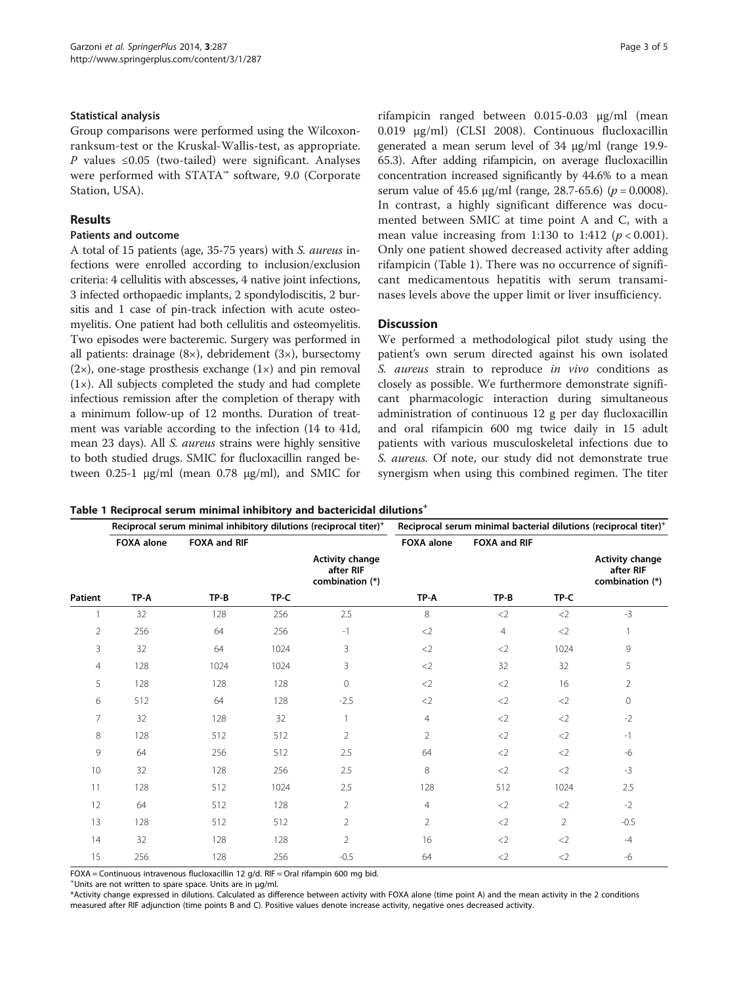#### Statistical analysis

Group comparisons were performed using the Wilcoxonranksum-test or the Kruskal-Wallis-test, as appropriate. *P* values ≤0.05 (two-tailed) were significant. Analyses were performed with STATA™ software, 9.0 (Corporate Station, USA).

## Results

## Patients and outcome

A total of 15 patients (age, 35-75 years) with S. aureus infections were enrolled according to inclusion/exclusion criteria: 4 cellulitis with abscesses, 4 native joint infections, 3 infected orthopaedic implants, 2 spondylodiscitis, 2 bursitis and 1 case of pin-track infection with acute osteomyelitis. One patient had both cellulitis and osteomyelitis. Two episodes were bacteremic. Surgery was performed in all patients: drainage (8×), debridement (3×), bursectomy  $(2\times)$ , one-stage prosthesis exchange  $(1\times)$  and pin removal (1×). All subjects completed the study and had complete infectious remission after the completion of therapy with a minimum follow-up of 12 months. Duration of treatment was variable according to the infection (14 to 41d, mean 23 days). All S. aureus strains were highly sensitive to both studied drugs. SMIC for flucloxacillin ranged between  $0.25$ -1 μg/ml (mean  $0.78$  μg/ml), and SMIC for

rifampicin ranged between 0.015-0.03 μg/ml (mean 0.019 μg/ml) (CLSI [2008](#page-3-0)). Continuous flucloxacillin generated a mean serum level of 34 μg/ml (range 19.9- 65.3). After adding rifampicin, on average flucloxacillin concentration increased significantly by 44.6% to a mean serum value of 45.6  $\mu$ g/ml (range, 28.7-65.6) (p = 0.0008). In contrast, a highly significant difference was documented between SMIC at time point A and C, with a mean value increasing from 1:130 to 1:412 ( $p < 0.001$ ). Only one patient showed decreased activity after adding rifampicin (Table 1). There was no occurrence of significant medicamentous hepatitis with serum transaminases levels above the upper limit or liver insufficiency.

## **Discussion**

We performed a methodological pilot study using the patient's own serum directed against his own isolated S. aureus strain to reproduce in vivo conditions as closely as possible. We furthermore demonstrate significant pharmacologic interaction during simultaneous administration of continuous 12 g per day flucloxacillin and oral rifampicin 600 mg twice daily in 15 adult patients with various musculoskeletal infections due to S. aureus. Of note, our study did not demonstrate true synergism when using this combined regimen. The titer

Table 1 Reciprocal serum minimal inhibitory and bactericidal dilutions<sup>+</sup>

|                | Reciprocal serum minimal inhibitory dilutions (reciprocal titer) <sup>+</sup> |              |      |                                                        | Reciprocal serum minimal bacterial dilutions (reciprocal titer) <sup>+</sup> |                |                |                                                        |
|----------------|-------------------------------------------------------------------------------|--------------|------|--------------------------------------------------------|------------------------------------------------------------------------------|----------------|----------------|--------------------------------------------------------|
|                | <b>FOXA</b> alone                                                             | FOXA and RIF |      |                                                        | <b>FOXA alone</b>                                                            | FOXA and RIF   |                |                                                        |
|                |                                                                               |              |      | <b>Activity change</b><br>after RIF<br>combination (*) |                                                                              |                |                | <b>Activity change</b><br>after RIF<br>combination (*) |
| Patient        | TP-A                                                                          | TP-B         | TP-C |                                                        | TP-A                                                                         | $TP-B$         | TP-C           |                                                        |
|                | 32                                                                            | 128          | 256  | 2.5                                                    | 8                                                                            | $<$ 2          | $<$ 2          | $-3$                                                   |
| $\overline{2}$ | 256                                                                           | 64           | 256  | $-1$                                                   | $<$ 2                                                                        | $\overline{4}$ | $<$ 2          |                                                        |
| 3              | 32                                                                            | 64           | 1024 | 3                                                      | $<$ 2                                                                        | $<$ 2          | 1024           | 9                                                      |
| $\overline{4}$ | 128                                                                           | 1024         | 1024 | 3                                                      | <                                                                            | 32             | 32             | 5                                                      |
| 5              | 128                                                                           | 128          | 128  | $\mathbf 0$                                            | $<$ 2                                                                        | $<$ 2          | 16             | $\overline{2}$                                         |
| 6              | 512                                                                           | 64           | 128  | $-2.5$                                                 | $<$ 2                                                                        | $<$ 2          | $<$ 2          | $\circ$                                                |
| $\overline{7}$ | 32                                                                            | 128          | 32   | $\mathbf{1}$                                           | $\overline{4}$                                                               | $<$ 2          | $<$ 2          | $-2$                                                   |
| 8              | 128                                                                           | 512          | 512  | $\overline{2}$                                         | $\overline{2}$                                                               | $<$ 2          | $<$ 2          | $-1$                                                   |
| 9              | 64                                                                            | 256          | 512  | 2.5                                                    | 64                                                                           | $<$ 2          | $<$ 2          | -6                                                     |
| 10             | 32                                                                            | 128          | 256  | 2.5                                                    | 8                                                                            | $<$ 2          | $<$ 2          | $-3$                                                   |
| 11             | 128                                                                           | 512          | 1024 | 2.5                                                    | 128                                                                          | 512            | 1024           | 2.5                                                    |
| 12             | 64                                                                            | 512          | 128  | $\overline{2}$                                         | $\overline{4}$                                                               | $<$ 2          | $<$ 2          | $-2$                                                   |
| 13             | 128                                                                           | 512          | 512  | $\overline{2}$                                         | $\overline{2}$                                                               | $<$ 2          | $\overline{2}$ | $-0.5$                                                 |
| 14             | 32                                                                            | 128          | 128  | $\overline{2}$                                         | 16                                                                           | $<$ 2          | $<$ 2          | $-4$                                                   |
| 15             | 256                                                                           | 128          | 256  | $-0.5$                                                 | 64                                                                           | $<$ 2          | $<$ 2          | $-6$                                                   |

FOXA = Continuous intravenous flucloxacillin 12 g/d. RIF = Oral rifampin 600 mg bid.

+ Units are not written to spare space. Units are in μg/ml.

\*Activity change expressed in dilutions. Calculated as difference between activity with FOXA alone (time point A) and the mean activity in the 2 conditions measured after RIF adjunction (time points B and C). Positive values denote increase activity, negative ones decreased activity.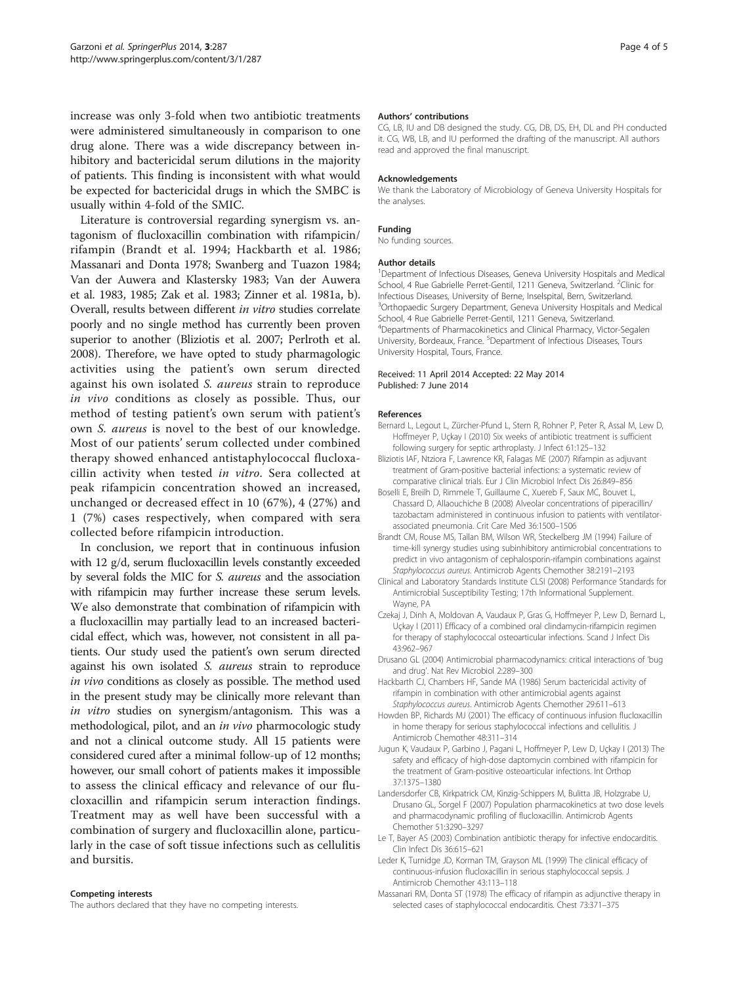<span id="page-3-0"></span>increase was only 3-fold when two antibiotic treatments were administered simultaneously in comparison to one drug alone. There was a wide discrepancy between inhibitory and bactericidal serum dilutions in the majority of patients. This finding is inconsistent with what would be expected for bactericidal drugs in which the SMBC is usually within 4-fold of the SMIC.

Literature is controversial regarding synergism vs. antagonism of flucloxacillin combination with rifampicin/ rifampin (Brandt et al. 1994; Hackbarth et al. 1986; Massanari and Donta 1978; Swanberg and Tuazon [1984](#page-4-0); Van der Auwera and Klastersky [1983;](#page-4-0) Van der Auwera et al. [1983](#page-4-0), [1985](#page-4-0); Zak et al. [1983](#page-4-0); Zinner et al. [1981a](#page-4-0), [b](#page-4-0)). Overall, results between different in vitro studies correlate poorly and no single method has currently been proven superior to another (Bliziotis et al. 2007; Perlroth et al. [2008\)](#page-4-0). Therefore, we have opted to study pharmagologic activities using the patient's own serum directed against his own isolated S. aureus strain to reproduce in vivo conditions as closely as possible. Thus, our method of testing patient's own serum with patient's own S. aureus is novel to the best of our knowledge. Most of our patients' serum collected under combined therapy showed enhanced antistaphylococcal flucloxacillin activity when tested in vitro. Sera collected at peak rifampicin concentration showed an increased, unchanged or decreased effect in 10 (67%), 4 (27%) and 1 (7%) cases respectively, when compared with sera collected before rifampicin introduction.

In conclusion, we report that in continuous infusion with 12 g/d, serum flucloxacillin levels constantly exceeded by several folds the MIC for S. aureus and the association with rifampicin may further increase these serum levels. We also demonstrate that combination of rifampicin with a flucloxacillin may partially lead to an increased bactericidal effect, which was, however, not consistent in all patients. Our study used the patient's own serum directed against his own isolated S. aureus strain to reproduce in vivo conditions as closely as possible. The method used in the present study may be clinically more relevant than in vitro studies on synergism/antagonism. This was a methodological, pilot, and an in vivo pharmocologic study and not a clinical outcome study. All 15 patients were considered cured after a minimal follow-up of 12 months; however, our small cohort of patients makes it impossible to assess the clinical efficacy and relevance of our flucloxacillin and rifampicin serum interaction findings. Treatment may as well have been successful with a combination of surgery and flucloxacillin alone, particularly in the case of soft tissue infections such as cellulitis and bursitis.

#### Competing interests

The authors declared that they have no competing interests.

#### Authors' contributions

CG, LB, IU and DB designed the study. CG, DB, DS, EH, DL and PH conducted it. CG, WB, LB, and IU performed the drafting of the manuscript. All authors read and approved the final manuscript.

#### Acknowledgements

We thank the Laboratory of Microbiology of Geneva University Hospitals for the analyses.

#### Funding

No funding sources.

#### Author details

<sup>1</sup>Department of Infectious Diseases, Geneva University Hospitals and Medical School, 4 Rue Gabrielle Perret-Gentil, 1211 Geneva, Switzerland. <sup>2</sup>Clinic for Infectious Diseases, University of Berne, Inselspital, Bern, Switzerland. <sup>3</sup>Orthopaedic Surgery Department, Geneva University Hospitals and Medical School, 4 Rue Gabrielle Perret-Gentil, 1211 Geneva, Switzerland. 4 Departments of Pharmacokinetics and Clinical Pharmacy, Victor-Segalen University, Bordeaux, France. <sup>5</sup>Department of Infectious Diseases, Tours University Hospital, Tours, France.

#### Received: 11 April 2014 Accepted: 22 May 2014 Published: 7 June 2014

#### References

- Bernard L, Legout L, Zürcher-Pfund L, Stern R, Rohner P, Peter R, Assal M, Lew D, Hoffmeyer P, Uçkay I (2010) Six weeks of antibiotic treatment is sufficient following surgery for septic arthroplasty. J Infect 61:125–132
- Bliziotis IAF, Ntziora F, Lawrence KR, Falagas ME (2007) Rifampin as adjuvant treatment of Gram-positive bacterial infections: a systematic review of comparative clinical trials. Eur J Clin Microbiol Infect Dis 26:849–856
- Boselli E, Breilh D, Rimmele T, Guillaume C, Xuereb F, Saux MC, Bouvet L, Chassard D, Allaouchiche B (2008) Alveolar concentrations of piperacillin/ tazobactam administered in continuous infusion to patients with ventilatorassociated pneumonia. Crit Care Med 36:1500–1506
- Brandt CM, Rouse MS, Tallan BM, Wilson WR, Steckelberg JM (1994) Failure of time-kill synergy studies using subinhibitory antimicrobial concentrations to predict in vivo antagonism of cephalosporin-rifampin combinations against Staphylococcus aureus. Antimicrob Agents Chemother 38:2191–2193
- Clinical and Laboratory Standards Institute CLSI (2008) Performance Standards for Antimicrobial Susceptibility Testing; 17th Informational Supplement. Wayne, PA
- Czekaj J, Dinh A, Moldovan A, Vaudaux P, Gras G, Hoffmeyer P, Lew D, Bernard L, Uçkay I (2011) Efficacy of a combined oral clindamycin-rifampicin regimen for therapy of staphylococcal osteoarticular infections. Scand J Infect Dis 43:962–967
- Drusano GL (2004) Antimicrobial pharmacodynamics: critical interactions of 'bug and drug'. Nat Rev Microbiol 2:289–300
- Hackbarth CJ, Chambers HF, Sande MA (1986) Serum bactericidal activity of rifampin in combination with other antimicrobial agents against Staphylococcus aureus. Antimicrob Agents Chemother 29:611–613
- Howden BP, Richards MJ (2001) The efficacy of continuous infusion flucloxacillin in home therapy for serious staphylococcal infections and cellulitis. J Antimicrob Chemother 48:311–314
- Jugun K, Vaudaux P, Garbino J, Pagani L, Hoffmeyer P, Lew D, Uçkay I (2013) The safety and efficacy of high-dose daptomycin combined with rifampicin for the treatment of Gram-positive osteoarticular infections. Int Orthop 37:1375–1380
- Landersdorfer CB, Kirkpatrick CM, Kinzig-Schippers M, Bulitta JB, Holzgrabe U, Drusano GL, Sorgel F (2007) Population pharmacokinetics at two dose levels and pharmacodynamic profiling of flucloxacillin. Antimicrob Agents Chemother 51:3290–3297
- Le T, Bayer AS (2003) Combination antibiotic therapy for infective endocarditis. Clin Infect Dis 36:615–621
- Leder K, Turnidge JD, Korman TM, Grayson ML (1999) The clinical efficacy of continuous-infusion flucloxacillin in serious staphylococcal sepsis. J Antimicrob Chemother 43:113–118
- Massanari RM, Donta ST (1978) The efficacy of rifampin as adjunctive therapy in selected cases of staphylococcal endocarditis. Chest 73:371–375